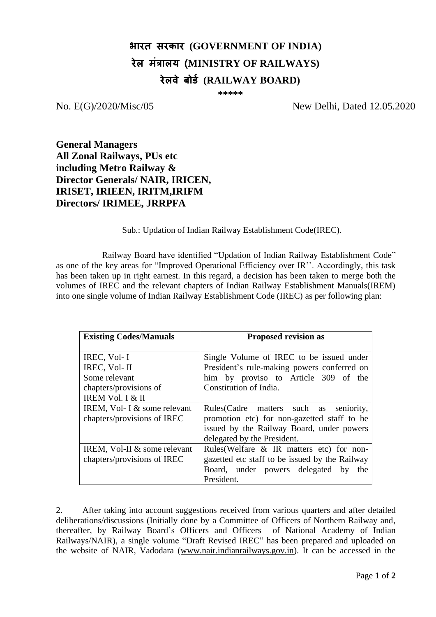## **भारत सरकार (GOVERNMENT OF INDIA) रेल मंत्रालय (MINISTRY OF RAILWAYS) रेलवे बोर्ड (RAILWAY BOARD)**

 **\*\*\*\*\***

No. E(G)/2020/Misc/05 New Delhi, Dated 12.05.2020

**General Managers All Zonal Railways, PUs etc including Metro Railway & Director Generals/ NAIR, IRICEN, IRISET, IRIEEN, IRITM,IRIFM Directors/ IRIMEE, JRRPFA**

Sub.: Updation of Indian Railway Establishment Code(IREC).

Railway Board have identified "Updation of Indian Railway Establishment Code" as one of the key areas for "Improved Operational Efficiency over IR''. Accordingly, this task has been taken up in right earnest. In this regard, a decision has been taken to merge both the volumes of IREC and the relevant chapters of Indian Railway Establishment Manuals(IREM) into one single volume of Indian Railway Establishment Code (IREC) as per following plan:

| <b>Existing Codes/Manuals</b>                                 | <b>Proposed revision as</b>                                                                 |  |
|---------------------------------------------------------------|---------------------------------------------------------------------------------------------|--|
| IREC, Vol- I<br>IREC, Vol- II                                 | Single Volume of IREC to be issued under<br>President's rule-making powers conferred on     |  |
| Some relevant                                                 | him by proviso to Article 309 of the                                                        |  |
| chapters/provisions of<br>IREM Vol. I & II                    | Constitution of India.                                                                      |  |
| IREM, Vol- I $&$ some relevant<br>chapters/provisions of IREC | Rules (Cadre matters such as seniority,<br>promotion etc) for non-gazetted staff to be      |  |
|                                                               | issued by the Railway Board, under powers<br>delegated by the President.                    |  |
| IREM, Vol-II & some relevant<br>chapters/provisions of IREC   | Rules (Welfare & IR matters etc) for non-<br>gazetted etc staff to be issued by the Railway |  |
|                                                               | Board, under powers delegated by<br>the<br>President.                                       |  |

2. After taking into account suggestions received from various quarters and after detailed deliberations/discussions (Initially done by a Committee of Officers of Northern Railway and, thereafter, by Railway Board's Officers and Officers of National Academy of Indian Railways/NAIR), a single volume "Draft Revised IREC" has been prepared and uploaded on the website of NAIR, Vadodara [\(www.nair.indianrailways.gov.in\)](http://www.nair.indianrailways.gov.in/). It can be accessed in the